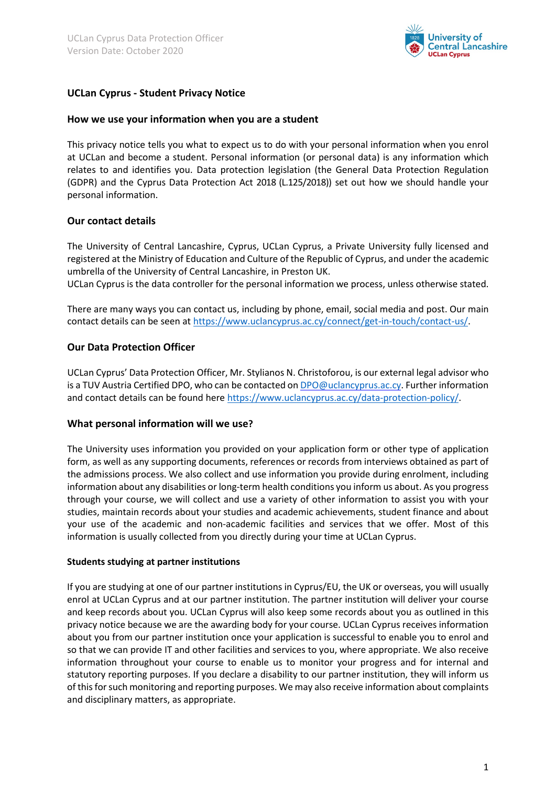

# **UCLan Cyprus - Student Privacy Notice**

#### **How we use your information when you are a student**

This privacy notice tells you what to expect us to do with your personal information when you enrol at UCLan and become a student. Personal information (or personal data) is any information which relates to and identifies you. Data protection legislation (the General Data Protection Regulation (GDPR) and the Cyprus Data Protection Act 2018 (L.125/2018)) set out how we should handle your personal information.

## **Our contact details**

The University of Central Lancashire, Cyprus, UCLan Cyprus, a Private University fully licensed and registered at the Ministry of Education and Culture of the Republic of Cyprus, and under the academic umbrella of the University of Central Lancashire, in Preston UK.

UCLan Cyprus is the data controller for the personal information we process, unless otherwise stated.

There are many ways you can contact us, including by phone, email, social media and post. Our main contact details can be seen at [https://www.uclancyprus.ac.cy/connect/get-in-touch/contact-us/.](https://www.uclancyprus.ac.cy/connect/get-in-touch/contact-us/)

## **Our Data Protection Officer**

UCLan Cyprus' Data Protection Officer, Mr. Stylianos N. Christoforou, is our external legal advisor who is a TUV Austria Certified DPO, who can be contacted o[n DPO@uclancyprus.ac.cy.](mailto:DPO@uclancyprus.ac.cy) Further information and contact details can be found here [https://www.uclancyprus.ac.cy/data-protection-policy/.](https://www.uclancyprus.ac.cy/data-protection-policy/)

#### **What personal information will we use?**

The University uses information you provided on your application form or other type of application form, as well as any supporting documents, references or records from interviews obtained as part of the admissions process. We also collect and use information you provide during enrolment, including information about any disabilities or long-term health conditions you inform us about. As you progress through your course, we will collect and use a variety of other information to assist you with your studies, maintain records about your studies and academic achievements, student finance and about your use of the academic and non-academic facilities and services that we offer. Most of this information is usually collected from you directly during your time at UCLan Cyprus.

#### **Students studying at partner institutions**

If you are studying at one of our partner institutions in Cyprus/EU, the UK or overseas, you will usually enrol at UCLan Cyprus and at our partner institution. The partner institution will deliver your course and keep records about you. UCLan Cyprus will also keep some records about you as outlined in this privacy notice because we are the awarding body for your course. UCLan Cyprus receives information about you from our partner institution once your application is successful to enable you to enrol and so that we can provide IT and other facilities and services to you, where appropriate. We also receive information throughout your course to enable us to monitor your progress and for internal and statutory reporting purposes. If you declare a disability to our partner institution, they will inform us of this for such monitoring and reporting purposes. We may also receive information about complaints and disciplinary matters, as appropriate.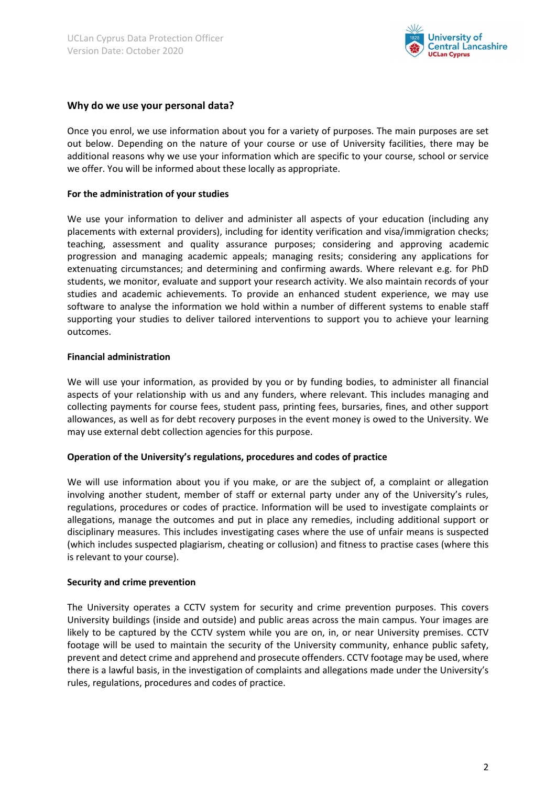

## **Why do we use your personal data?**

Once you enrol, we use information about you for a variety of purposes. The main purposes are set out below. Depending on the nature of your course or use of University facilities, there may be additional reasons why we use your information which are specific to your course, school or service we offer. You will be informed about these locally as appropriate.

#### **For the administration of your studies**

We use your information to deliver and administer all aspects of your education (including any placements with external providers), including for identity verification and visa/immigration checks; teaching, assessment and quality assurance purposes; considering and approving academic progression and managing academic appeals; managing resits; considering any applications for extenuating circumstances; and determining and confirming awards. Where relevant e.g. for PhD students, we monitor, evaluate and support your research activity. We also maintain records of your studies and academic achievements. To provide an enhanced student experience, we may use software to analyse the information we hold within a number of different systems to enable staff supporting your studies to deliver tailored interventions to support you to achieve your learning outcomes.

#### **Financial administration**

We will use your information, as provided by you or by funding bodies, to administer all financial aspects of your relationship with us and any funders, where relevant. This includes managing and collecting payments for course fees, student pass, printing fees, bursaries, fines, and other support allowances, as well as for debt recovery purposes in the event money is owed to the University. We may use external debt collection agencies for this purpose.

#### **Operation of the University's regulations, procedures and codes of practice**

We will use information about you if you make, or are the subject of, a complaint or allegation involving another student, member of staff or external party under any of the University's rules, regulations, procedures or codes of practice. Information will be used to investigate complaints or allegations, manage the outcomes and put in place any remedies, including additional support or disciplinary measures. This includes investigating cases where the use of unfair means is suspected (which includes suspected plagiarism, cheating or collusion) and fitness to practise cases (where this is relevant to your course).

#### **Security and crime prevention**

The University operates a CCTV system for security and crime prevention purposes. This covers University buildings (inside and outside) and public areas across the main campus. Your images are likely to be captured by the CCTV system while you are on, in, or near University premises. CCTV footage will be used to maintain the security of the University community, enhance public safety, prevent and detect crime and apprehend and prosecute offenders. CCTV footage may be used, where there is a lawful basis, in the investigation of complaints and allegations made under the University's rules, regulations, procedures and codes of practice.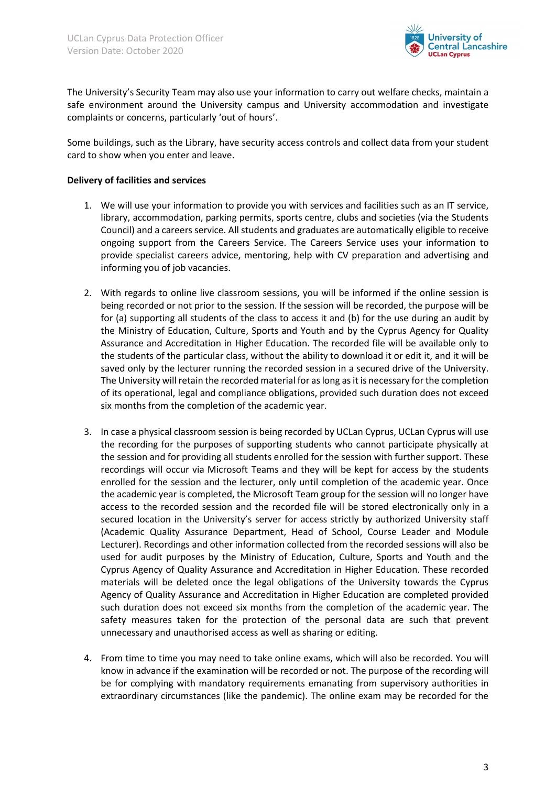

The University's Security Team may also use your information to carry out welfare checks, maintain a safe environment around the University campus and University accommodation and investigate complaints or concerns, particularly 'out of hours'.

Some buildings, such as the Library, have security access controls and collect data from your student card to show when you enter and leave.

### **Delivery of facilities and services**

- 1. We will use your information to provide you with services and facilities such as an IT service, library, accommodation, parking permits, sports centre, clubs and societies (via the Students Council) and a careers service. All students and graduates are automatically eligible to receive ongoing support from the Careers Service. The Careers Service uses your information to provide specialist careers advice, mentoring, help with CV preparation and advertising and informing you of job vacancies.
- 2. With regards to online live classroom sessions, you will be informed if the online session is being recorded or not prior to the session. If the session will be recorded, the purpose will be for (a) supporting all students of the class to access it and (b) for the use during an audit by the Ministry of Education, Culture, Sports and Youth and by the Cyprus Agency for Quality Assurance and Accreditation in Higher Education. The recorded file will be available only to the students of the particular class, without the ability to download it or edit it, and it will be saved only by the lecturer running the recorded session in a secured drive of the University. The University will retain the recorded material for as long as it is necessary for the completion of its operational, legal and compliance obligations, provided such duration does not exceed six months from the completion of the academic year.
- 3. In case a physical classroom session is being recorded by UCLan Cyprus, UCLan Cyprus will use the recording for the purposes of supporting students who cannot participate physically at the session and for providing all students enrolled for the session with further support. These recordings will occur via Microsoft Teams and they will be kept for access by the students enrolled for the session and the lecturer, only until completion of the academic year. Once the academic year is completed, the Microsoft Team group for the session will no longer have access to the recorded session and the recorded file will be stored electronically only in a secured location in the University's server for access strictly by authorized University staff (Academic Quality Assurance Department, Head of School, Course Leader and Module Lecturer). Recordings and other information collected from the recorded sessions will also be used for audit purposes by the Ministry of Education, Culture, Sports and Youth and the Cyprus Agency of Quality Assurance and Accreditation in Higher Education. These recorded materials will be deleted once the legal obligations of the University towards the Cyprus Agency of Quality Assurance and Accreditation in Higher Education are completed provided such duration does not exceed six months from the completion of the academic year. The safety measures taken for the protection of the personal data are such that prevent unnecessary and unauthorised access as well as sharing or editing.
- 4. From time to time you may need to take online exams, which will also be recorded. You will know in advance if the examination will be recorded or not. The purpose of the recording will be for complying with mandatory requirements emanating from supervisory authorities in extraordinary circumstances (like the pandemic). The online exam may be recorded for the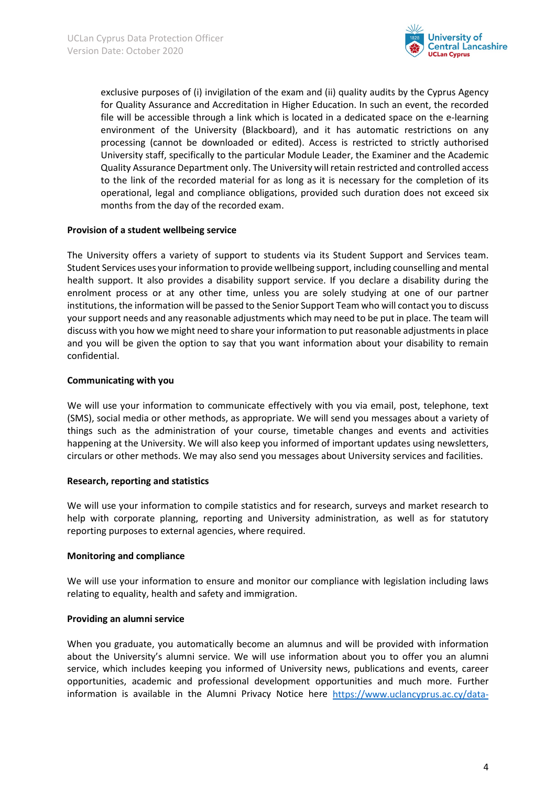

exclusive purposes of (i) invigilation of the exam and (ii) quality audits by the Cyprus Agency for Quality Assurance and Accreditation in Higher Education. In such an event, the recorded file will be accessible through a link which is located in a dedicated space on the e-learning environment of the University (Blackboard), and it has automatic restrictions on any processing (cannot be downloaded or edited). Access is restricted to strictly authorised University staff, specifically to the particular Module Leader, the Examiner and the Academic Quality Assurance Department only. The University will retain restricted and controlled access to the link of the recorded material for as long as it is necessary for the completion of its operational, legal and compliance obligations, provided such duration does not exceed six months from the day of the recorded exam.

#### **Provision of a student wellbeing service**

The University offers a variety of support to students via its Student Support and Services team. Student Services uses your information to provide wellbeing support, including counselling and mental health support. It also provides a disability support service. If you declare a disability during the enrolment process or at any other time, unless you are solely studying at one of our partner institutions, the information will be passed to the Senior Support Team who will contact you to discuss your support needs and any reasonable adjustments which may need to be put in place. The team will discuss with you how we might need to share your information to put reasonable adjustments in place and you will be given the option to say that you want information about your disability to remain confidential.

## **Communicating with you**

We will use your information to communicate effectively with you via email, post, telephone, text (SMS), social media or other methods, as appropriate. We will send you messages about a variety of things such as the administration of your course, timetable changes and events and activities happening at the University. We will also keep you informed of important updates using newsletters, circulars or other methods. We may also send you messages about University services and facilities.

#### **Research, reporting and statistics**

We will use your information to compile statistics and for research, surveys and market research to help with corporate planning, reporting and University administration, as well as for statutory reporting purposes to external agencies, where required.

#### **Monitoring and compliance**

We will use your information to ensure and monitor our compliance with legislation including laws relating to equality, health and safety and immigration.

#### **Providing an alumni service**

When you graduate, you automatically become an alumnus and will be provided with information about the University's alumni service. We will use information about you to offer you an alumni service, which includes keeping you informed of University news, publications and events, career opportunities, academic and professional development opportunities and much more. Further information is available in the Alumni Privacy Notice here [https://www.uclancyprus.ac.cy/data-](https://www.uclancyprus.ac.cy/data-protection-policy/)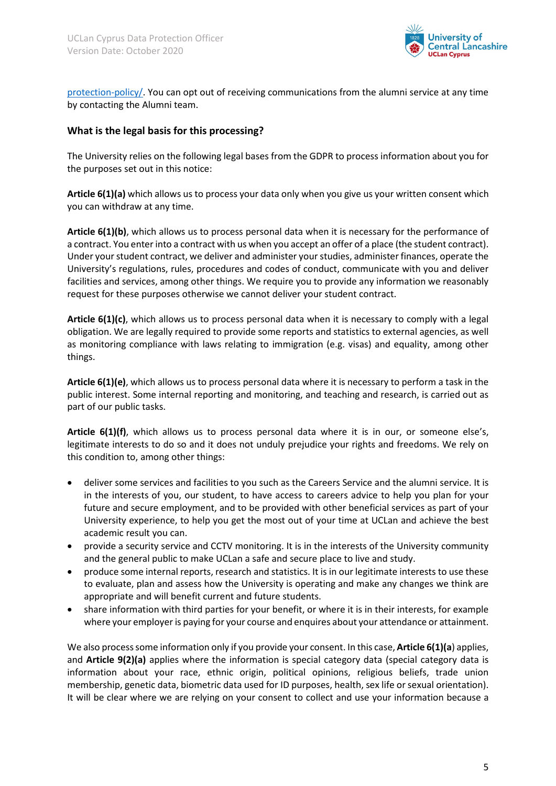

[protection-policy/.](https://www.uclancyprus.ac.cy/data-protection-policy/) You can opt out of receiving communications from the alumni service at any time by contacting the Alumni team.

## **What is the legal basis for this processing?**

The University relies on the following legal bases from the GDPR to process information about you for the purposes set out in this notice:

**Article 6(1)(a)** which allows us to process your data only when you give us your written consent which you can withdraw at any time.

**Article 6(1)(b)**, which allows us to process personal data when it is necessary for the performance of a contract. You enter into a contract with us when you accept an offer of a place (the student contract). Under your student contract, we deliver and administer your studies, administer finances, operate the University's regulations, rules, procedures and codes of conduct, communicate with you and deliver facilities and services, among other things. We require you to provide any information we reasonably request for these purposes otherwise we cannot deliver your student contract.

**Article 6(1)(c)**, which allows us to process personal data when it is necessary to comply with a legal obligation. We are legally required to provide some reports and statistics to external agencies, as well as monitoring compliance with laws relating to immigration (e.g. visas) and equality, among other things.

**Article 6(1)(e)**, which allows us to process personal data where it is necessary to perform a task in the public interest. Some internal reporting and monitoring, and teaching and research, is carried out as part of our public tasks.

**Article 6(1)(f)**, which allows us to process personal data where it is in our, or someone else's, legitimate interests to do so and it does not unduly prejudice your rights and freedoms. We rely on this condition to, among other things:

- deliver some services and facilities to you such as the Careers Service and the alumni service. It is in the interests of you, our student, to have access to careers advice to help you plan for your future and secure employment, and to be provided with other beneficial services as part of your University experience, to help you get the most out of your time at UCLan and achieve the best academic result you can.
- provide a security service and CCTV monitoring. It is in the interests of the University community and the general public to make UCLan a safe and secure place to live and study.
- produce some internal reports, research and statistics. It is in our legitimate interests to use these to evaluate, plan and assess how the University is operating and make any changes we think are appropriate and will benefit current and future students.
- share information with third parties for your benefit, or where it is in their interests, for example where your employer is paying for your course and enquires about your attendance or attainment.

We also process some information only if you provide your consent. In this case, **Article 6(1)(a**) applies, and **Article 9(2)(a)** applies where the information is special category data (special category data is information about your race, ethnic origin, political opinions, religious beliefs, trade union membership, genetic data, biometric data used for ID purposes, health, sex life or sexual orientation). It will be clear where we are relying on your consent to collect and use your information because a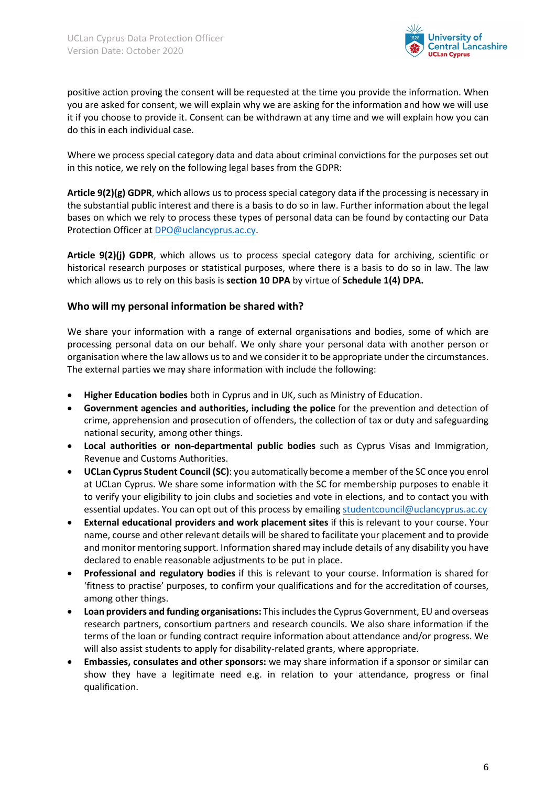

positive action proving the consent will be requested at the time you provide the information. When you are asked for consent, we will explain why we are asking for the information and how we will use it if you choose to provide it. Consent can be withdrawn at any time and we will explain how you can do this in each individual case.

Where we process special category data and data about criminal convictions for the purposes set out in this notice, we rely on the following legal bases from the GDPR:

**Article 9(2)(g) GDPR**, which allows us to process special category data if the processing is necessary in the substantial public interest and there is a basis to do so in law. Further information about the legal bases on which we rely to process these types of personal data can be found by contacting our Data Protection Officer at [DPO@uclancyprus.ac.cy.](mailto:DPO@uclancyprus.ac.cy)

**Article 9(2)(j) GDPR**, which allows us to process special category data for archiving, scientific or historical research purposes or statistical purposes, where there is a basis to do so in law. The law which allows us to rely on this basis is **section 10 DPA** by virtue of **Schedule 1(4) DPA.**

## **Who will my personal information be shared with?**

We share your information with a range of external organisations and bodies, some of which are processing personal data on our behalf. We only share your personal data with another person or organisation where the law allows us to and we consider it to be appropriate under the circumstances. The external parties we may share information with include the following:

- **Higher Education bodies** both in Cyprus and in UK, such as Ministry of Education.
- **Government agencies and authorities, including the police** for the prevention and detection of crime, apprehension and prosecution of offenders, the collection of tax or duty and safeguarding national security, among other things.
- **Local authorities or non-departmental public bodies** such as Cyprus Visas and Immigration, Revenue and Customs Authorities.
- **UCLan Cyprus Student Council (SC)**: you automatically become a member of the SC once you enrol at UCLan Cyprus. We share some information with the SC for membership purposes to enable it to verify your eligibility to join clubs and societies and vote in elections, and to contact you with essential updates. You can opt out of this process by emailing [studentcouncil@uclancyprus.ac.cy](mailto:studentcouncil@uclancyprus.ac.cy)
- **External educational providers and work placement sites** if this is relevant to your course. Your name, course and other relevant details will be shared to facilitate your placement and to provide and monitor mentoring support. Information shared may include details of any disability you have declared to enable reasonable adjustments to be put in place.
- **Professional and regulatory bodies** if this is relevant to your course. Information is shared for 'fitness to practise' purposes, to confirm your qualifications and for the accreditation of courses, among other things.
- **Loan providers and funding organisations:** This includes the Cyprus Government, EU and overseas research partners, consortium partners and research councils. We also share information if the terms of the loan or funding contract require information about attendance and/or progress. We will also assist students to apply for disability-related grants, where appropriate.
- **Embassies, consulates and other sponsors:** we may share information if a sponsor or similar can show they have a legitimate need e.g. in relation to your attendance, progress or final qualification.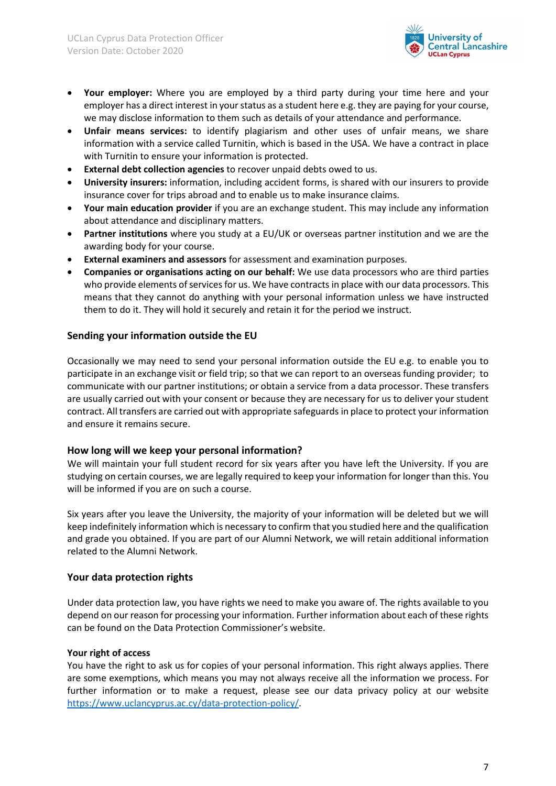

- **Your employer:** Where you are employed by a third party during your time here and your employer has a direct interest in your status as a student here e.g. they are paying for your course, we may disclose information to them such as details of your attendance and performance.
- **Unfair means services:** to identify plagiarism and other uses of unfair means, we share information with a service called Turnitin, which is based in the USA. We have a contract in place with Turnitin to ensure your information is protected.
- **External debt collection agencies** to recover unpaid debts owed to us.
- **University insurers:** information, including accident forms, is shared with our insurers to provide insurance cover for trips abroad and to enable us to make insurance claims.
- **Your main education provider** if you are an exchange student. This may include any information about attendance and disciplinary matters.
- **Partner institutions** where you study at a EU/UK or overseas partner institution and we are the awarding body for your course.
- **External examiners and assessors** for assessment and examination purposes.
- **Companies or organisations acting on our behalf:** We use data processors who are third parties who provide elements of services for us. We have contracts in place with our data processors. This means that they cannot do anything with your personal information unless we have instructed them to do it. They will hold it securely and retain it for the period we instruct.

## **Sending your information outside the EU**

Occasionally we may need to send your personal information outside the EU e.g. to enable you to participate in an exchange visit or field trip; so that we can report to an overseas funding provider; to communicate with our partner institutions; or obtain a service from a data processor. These transfers are usually carried out with your consent or because they are necessary for us to deliver your student contract. All transfers are carried out with appropriate safeguards in place to protect your information and ensure it remains secure.

#### **How long will we keep your personal information?**

We will maintain your full student record for six years after you have left the University. If you are studying on certain courses, we are legally required to keep your information for longer than this. You will be informed if you are on such a course.

Six years after you leave the University, the majority of your information will be deleted but we will keep indefinitely information which is necessary to confirm that you studied here and the qualification and grade you obtained. If you are part of our Alumni Network, we will retain additional information related to the Alumni Network.

#### **Your data protection rights**

Under data protection law, you have rights we need to make you aware of. The rights available to you depend on our reason for processing your information. Further information about each of these rights can be found on the Data Protection Commissioner's website.

#### **Your right of access**

You have the right to ask us for copies of your personal information. This right always applies. There are some exemptions, which means you may not always receive all the information we process. For further information or to make a request, please see our data privacy policy at our website [https://www.uclancyprus.ac.cy/data-protection-policy/.](https://www.uclancyprus.ac.cy/data-protection-policy/)